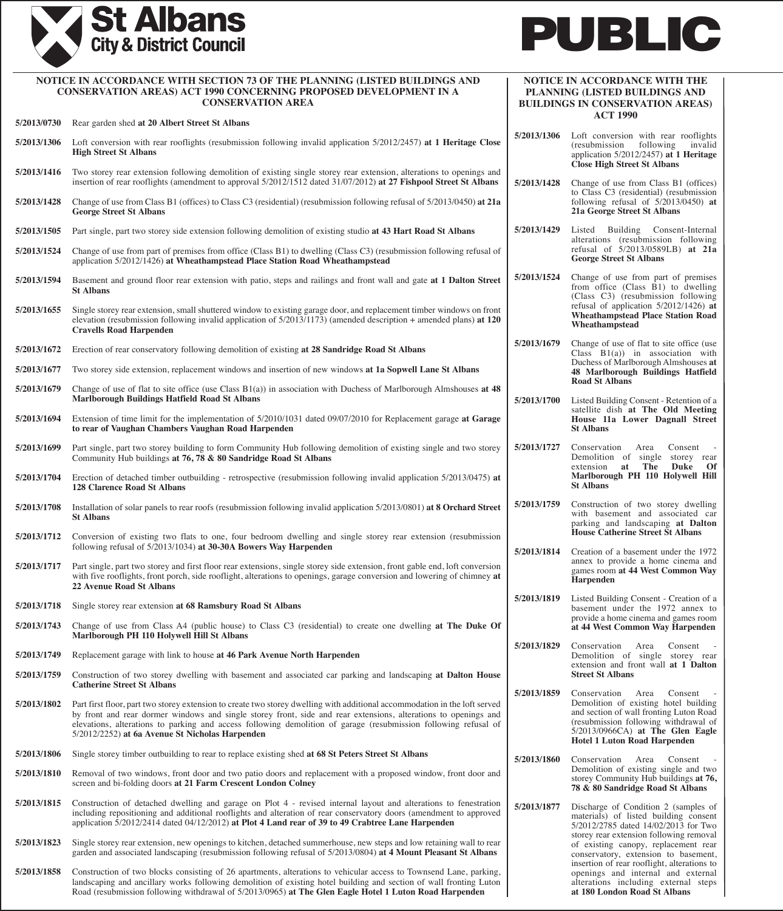



| NOTICE IN ACCORDANCE WITH SECTION 73 OF THE PLANNING (LISTED BUILDINGS AND<br><b>CONSERVATION AREAS) ACT 1990 CONCERNING PROPOSED DEVELOPMENT IN A</b><br><b>CONSERVATION AREA</b> |                                                                                                                                                                                                                                                                                                                                                                                                                     | NOTICE IN ACCORDANCE WITH THE<br>PLANNING (LISTED BUILDINGS AND<br><b>BUILDINGS IN CONSERVATION AREAS)</b> |                                                                                                                                                                                                       |
|------------------------------------------------------------------------------------------------------------------------------------------------------------------------------------|---------------------------------------------------------------------------------------------------------------------------------------------------------------------------------------------------------------------------------------------------------------------------------------------------------------------------------------------------------------------------------------------------------------------|------------------------------------------------------------------------------------------------------------|-------------------------------------------------------------------------------------------------------------------------------------------------------------------------------------------------------|
| 5/2013/0730                                                                                                                                                                        | Rear garden shed at 20 Albert Street St Albans                                                                                                                                                                                                                                                                                                                                                                      |                                                                                                            | <b>ACT 1990</b>                                                                                                                                                                                       |
| 5/2013/1306                                                                                                                                                                        | Loft conversion with rear rooflights (resubmission following invalid application 5/2012/2457) at 1 Heritage Close<br><b>High Street St Albans</b>                                                                                                                                                                                                                                                                   | 5/2013/1306                                                                                                | Loft conversion with rear rooflights<br>following<br>(resubmission)<br>invalid<br>application 5/2012/2457) at 1 Heritage<br><b>Close High Street St Albans</b>                                        |
| 5/2013/1416                                                                                                                                                                        | Two storey rear extension following demolition of existing single storey rear extension, alterations to openings and<br>insertion of rear rooflights (amendment to approval 5/2012/1512 dated 31/07/2012) at 27 Fishpool Street St Albans                                                                                                                                                                           | 5/2013/1428                                                                                                | Change of use from Class B1 (offices)<br>to Class C3 (residential) (resubmission<br>following refusal of $5/2013/0450$ at<br>21a George Street St Albans                                              |
| 5/2013/1428                                                                                                                                                                        | Change of use from Class B1 (offices) to Class C3 (residential) (resubmission following refusal of 5/2013/0450) at 21a<br><b>George Street St Albans</b>                                                                                                                                                                                                                                                            |                                                                                                            |                                                                                                                                                                                                       |
| 5/2013/1505                                                                                                                                                                        | Part single, part two storey side extension following demolition of existing studio at 43 Hart Road St Albans                                                                                                                                                                                                                                                                                                       | 5/2013/1429                                                                                                | Listed Building Consent-Internal<br>alterations (resubmission following                                                                                                                               |
| 5/2013/1524                                                                                                                                                                        | Change of use from part of premises from office (Class B1) to dwelling (Class C3) (resubmission following refusal of<br>application 5/2012/1426) at Wheathampstead Place Station Road Wheathampstead                                                                                                                                                                                                                |                                                                                                            | refusal of 5/2013/0589LB) at 21a<br><b>George Street St Albans</b>                                                                                                                                    |
| 5/2013/1594                                                                                                                                                                        | Basement and ground floor rear extension with patio, steps and railings and front wall and gate at 1 Dalton Street<br><b>St Albans</b>                                                                                                                                                                                                                                                                              | 5/2013/1524                                                                                                | Change of use from part of premises<br>from office (Class $\bar{B}$ 1) to dwelling<br>(Class C3) (resubmission following                                                                              |
| 5/2013/1655                                                                                                                                                                        | Single storey rear extension, small shuttered window to existing garage door, and replacement timber windows on front<br>elevation (resubmission following invalid application of $5/2013/1173$ ) (amended description + amended plans) at 120<br><b>Cravells Road Harpenden</b>                                                                                                                                    |                                                                                                            | refusal of application $5/2012/1426$ ) at<br><b>Wheathampstead Place Station Road</b><br>Wheathampstead                                                                                               |
| 5/2013/1672                                                                                                                                                                        | Erection of rear conservatory following demolition of existing at 28 Sandridge Road St Albans                                                                                                                                                                                                                                                                                                                       | 5/2013/1679                                                                                                | Change of use of flat to site office (use<br>Class $B1(a)$ in association with                                                                                                                        |
| 5/2013/1677                                                                                                                                                                        | Two storey side extension, replacement windows and insertion of new windows at 1a Sopwell Lane St Albans                                                                                                                                                                                                                                                                                                            |                                                                                                            | Duchess of Marlborough Almshouses at<br>48 Marlborough Buildings Hatfield                                                                                                                             |
| 5/2013/1679                                                                                                                                                                        | Change of use of flat to site office (use Class $B1(a)$ ) in association with Duchess of Marlborough Almshouses at 48<br><b>Marlborough Buildings Hatfield Road St Albans</b>                                                                                                                                                                                                                                       | 5/2013/1700                                                                                                | <b>Road St Albans</b><br>Listed Building Consent - Retention of a                                                                                                                                     |
| 5/2013/1694                                                                                                                                                                        | Extension of time limit for the implementation of 5/2010/1031 dated 09/07/2010 for Replacement garage at Garage<br>to rear of Vaughan Chambers Vaughan Road Harpenden                                                                                                                                                                                                                                               |                                                                                                            | satellite dish at The Old Meeting<br>House 11a Lower Dagnall Street<br><b>St Albans</b>                                                                                                               |
| 5/2013/1699                                                                                                                                                                        | Part single, part two storey building to form Community Hub following demolition of existing single and two storey<br>Community Hub buildings at 76, 78 & 80 Sandridge Road St Albans                                                                                                                                                                                                                               | 5/2013/1727                                                                                                | Conservation<br>Consent<br>Area<br>Demolition of single storey rear<br>extension at<br>The<br>Duke Of                                                                                                 |
| 5/2013/1704                                                                                                                                                                        | Erection of detached timber outbuilding - retrospective (resubmission following invalid application 5/2013/0475) at<br><b>128 Clarence Road St Albans</b>                                                                                                                                                                                                                                                           |                                                                                                            | Marlborough PH 110 Holywell Hill<br><b>St Albans</b>                                                                                                                                                  |
| 5/2013/1708                                                                                                                                                                        | Installation of solar panels to rear roofs (resubmission following invalid application 5/2013/0801) at 8 Orchard Street<br><b>St Albans</b>                                                                                                                                                                                                                                                                         | 5/2013/1759                                                                                                | Construction of two storey dwelling<br>with basement and associated car<br>parking and landscaping at Dalton                                                                                          |
| 5/2013/1712                                                                                                                                                                        | Conversion of existing two flats to one, four bedroom dwelling and single storey rear extension (resubmission<br>following refusal of 5/2013/1034) at 30-30A Bowers Way Harpenden                                                                                                                                                                                                                                   | 5/2013/1814                                                                                                | <b>House Catherine Street St Albans</b><br>Creation of a basement under the 1972                                                                                                                      |
| 5/2013/1717                                                                                                                                                                        | Part single, part two storey and first floor rear extensions, single storey side extension, front gable end, loft conversion<br>with five rooflights, front porch, side rooflight, alterations to openings, garage conversion and lowering of chimney at<br><b>22 Avenue Road St Albans</b>                                                                                                                         |                                                                                                            | annex to provide a home cinema and<br>games room at 44 West Common Way<br>Harpenden                                                                                                                   |
| 5/2013/1718                                                                                                                                                                        | Single storey rear extension at 68 Ramsbury Road St Albans                                                                                                                                                                                                                                                                                                                                                          | 5/2013/1819                                                                                                | Listed Building Consent - Creation of a<br>basement under the 1972 annex to                                                                                                                           |
| 5/2013/1743                                                                                                                                                                        | Change of use from Class A4 (public house) to Class C3 (residential) to create one dwelling at The Duke Of<br>Marlborough PH 110 Holywell Hill St Albans                                                                                                                                                                                                                                                            |                                                                                                            | provide a home cinema and games room<br>at 44 West Common Way Harpenden                                                                                                                               |
| 5/2013/1749                                                                                                                                                                        | Replacement garage with link to house at 46 Park Avenue North Harpenden                                                                                                                                                                                                                                                                                                                                             | 5/2013/1829                                                                                                | Conservation<br>Area<br>Consent<br>Demolition of single storey rear                                                                                                                                   |
| 5/2013/1759                                                                                                                                                                        | Construction of two storey dwelling with basement and associated car parking and landscaping at Dalton House<br><b>Catherine Street St Albans</b>                                                                                                                                                                                                                                                                   | 5/2013/1859                                                                                                | extension and front wall at 1 Dalton<br><b>Street St Albans</b><br>Conservation<br>Area<br>Consent                                                                                                    |
| 5/2013/1802                                                                                                                                                                        | Part first floor, part two storey extension to create two storey dwelling with additional accommodation in the loft served<br>by front and rear dormer windows and single storey front, side and rear extensions, alterations to openings and<br>elevations, alterations to parking and access following demolition of garage (resubmission following refusal of<br>5/2012/2252) at 6a Avenue St Nicholas Harpenden |                                                                                                            | Demolition of existing hotel building<br>and section of wall fronting Luton Road<br>(resubmission following withdrawal of<br>$5/2013/0966CA$ at The Glen Eagle<br><b>Hotel 1 Luton Road Harpenden</b> |
| 5/2013/1806                                                                                                                                                                        | Single storey timber outbuilding to rear to replace existing shed at 68 St Peters Street St Albans                                                                                                                                                                                                                                                                                                                  | 5/2013/1860                                                                                                | Conservation Area<br>Consent                                                                                                                                                                          |
| 5/2013/1810                                                                                                                                                                        | Removal of two windows, front door and two patio doors and replacement with a proposed window, front door and<br>screen and bi-folding doors at 21 Farm Crescent London Colney                                                                                                                                                                                                                                      |                                                                                                            | Demolition of existing single and two<br>storey Community Hub buildings at 76,<br>78 & 80 Sandridge Road St Albans                                                                                    |
| 5/2013/1815                                                                                                                                                                        | Construction of detached dwelling and garage on Plot 4 - revised internal layout and alterations to fenestration<br>including repositioning and additional rooflights and alteration of rear conservatory doors (amendment to approved<br>application 5/2012/2414 dated 04/12/2012) at Plot 4 Land rear of 39 to 49 Crabtree Lane Harpenden                                                                         | 5/2013/1877                                                                                                | Discharge of Condition 2 (samples of<br>materials) of listed building consent<br>5/2012/2785 dated 14/02/2013 for Two                                                                                 |
| 5/2013/1823                                                                                                                                                                        | Single storey rear extension, new openings to kitchen, detached summerhouse, new steps and low retaining wall to rear<br>garden and associated landscaping (resubmission following refusal of 5/2013/0804) at 4 Mount Pleasant St Albans                                                                                                                                                                            |                                                                                                            | storey rear extension following removal<br>of existing canopy, replacement rear<br>conservatory, extension to basement,                                                                               |
| 5/2013/1858                                                                                                                                                                        | Construction of two blocks consisting of 26 apartments, alterations to vehicular access to Townsend Lane, parking,<br>landscaping and ancillary works following demolition of existing hotel building and section of wall fronting Luton<br>Road (resubmission following withdrawal of 5/2013/0965) at The Glen Eagle Hotel 1 Luton Road Harpenden                                                                  |                                                                                                            | insertion of rear rooflight, alterations to<br>openings and internal and external<br>alterations including external steps<br>at 180 London Road St Albans                                             |